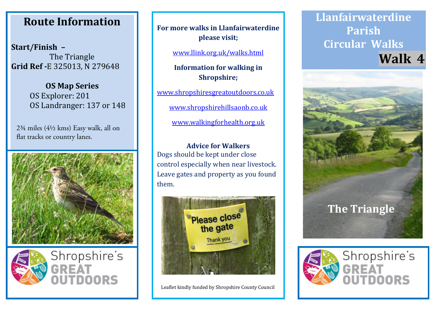## **Route Information Route Information Route Information**

**Start/Finish – Start/Finish – Start/Finish –** The Triangle The Triangle The Triangle **Grid Ref -**E 325013, N 279648 **Grid Ref -**E 325013, N 279648 **Grid Ref -**E 325013, N 279648

> **OS Map Series OS Map Series OS Map Series** OS Explorer: 201 OS Explorer: 201 OS Explorer: 201 OS Landranger: 137 or 148 OS Landranger: 137 or 148 OS Landranger: 137 or 148

 $2\frac{3}{4}$  miles ( $4\frac{1}{2}$  kms) Easy walk, all on flat tracks or country lanes.





**For more walks in Llanfairwaterdine For more walks in Llanfairwaterdine For more walks in Llanfairwaterdine please visit; please visit; please visit;**

www.llink.org.uk/walks.html www.llink.org.uk/walks.html www.llink.org.uk/walks.html

**Information for walking in Information for walking in Information for walking in Shropshire; Shropshire; Shropshire;**

www.shropshiresgreatoutdoors.co.uk www.shropshiresgreatoutdoors.co.uk www.shropshiresgreatoutdoors.co.uk

www.shropshirehillsaonb.co.uk www.shropshirehillsaonb.co.uk www.shropshirehillsaonb.co.uk

www.walkingforhealth.org.uk www.walkingforhealth.org.uk www.walkingforhealth.org.uk

**Advice for Walkers Advice for Walkers Advice for Walkers** Dogs should be kept under close Dogs should be kept under close Dogs should be kept under close control especially when near livestock. control especially when near livestock. control especially when near livestock. Leave gates and property as you found Leave gates and property as you found Leave gates and property as you found them. them. them.



Leaflet kindly funded by Shropshire County Council Leaflet kindly funded by Shropshire County Council Leaflet kindly funded by Shropshire County Council

## **Llanfairwaterdine Llanfairwaterdine Llanfairwaterdine Parish Parish Parish Circular Walks Circular Walks Circular Walks Walk 4 Walk 4 Walk 4**